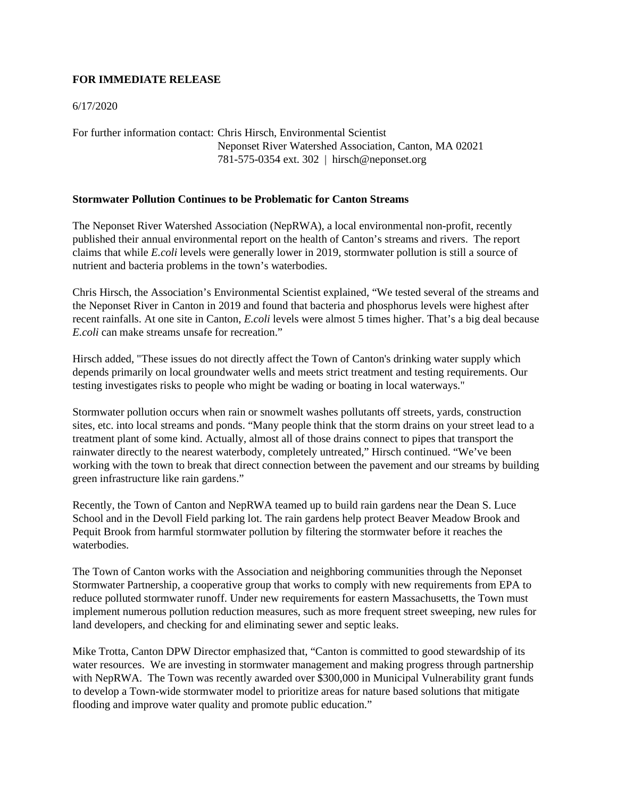## **FOR IMMEDIATE RELEASE**

## 6/17/2020

For further information contact: Chris Hirsch, Environmental Scientist Neponset River Watershed Association, Canton, MA 02021 781-575-0354 ext. 302 | hirsch@neponset.org

## **Stormwater Pollution Continues to be Problematic for Canton Streams**

The Neponset River Watershed Association (NepRWA), a local environmental non-profit, recently published their annual environmental report on the health of Canton's streams and rivers. The report claims that while *E.coli* levels were generally lower in 2019, stormwater pollution is still a source of nutrient and bacteria problems in the town's waterbodies.

Chris Hirsch, the Association's Environmental Scientist explained, "We tested several of the streams and the Neponset River in Canton in 2019 and found that bacteria and phosphorus levels were highest after recent rainfalls. At one site in Canton, *E.coli* levels were almost 5 times higher. That's a big deal because *E.coli* can make streams unsafe for recreation."

Hirsch added, "These issues do not directly affect the Town of Canton's drinking water supply which depends primarily on local groundwater wells and meets strict treatment and testing requirements. Our testing investigates risks to people who might be wading or boating in local waterways."

Stormwater pollution occurs when rain or snowmelt washes pollutants off streets, yards, construction sites, etc. into local streams and ponds. "Many people think that the storm drains on your street lead to a treatment plant of some kind. Actually, almost all of those drains connect to pipes that transport the rainwater directly to the nearest waterbody, completely untreated," Hirsch continued. "We've been working with the town to break that direct connection between the pavement and our streams by building green infrastructure like rain gardens."

Recently, the Town of Canton and NepRWA teamed up to build rain gardens near the Dean S. Luce School and in the Devoll Field parking lot. The rain gardens help protect Beaver Meadow Brook and Pequit Brook from harmful stormwater pollution by filtering the stormwater before it reaches the waterbodies.

The Town of Canton works with the Association and neighboring communities through the Neponset Stormwater Partnership, a cooperative group that works to comply with new requirements from EPA to reduce polluted stormwater runoff. Under new requirements for eastern Massachusetts, the Town must implement numerous pollution reduction measures, such as more frequent street sweeping, new rules for land developers, and checking for and eliminating sewer and septic leaks.

Mike Trotta, Canton DPW Director emphasized that, "Canton is committed to good stewardship of its water resources. We are investing in stormwater management and making progress through partnership with NepRWA. The Town was recently awarded over \$300,000 in Municipal Vulnerability grant funds to develop a Town-wide stormwater model to prioritize areas for nature based solutions that mitigate flooding and improve water quality and promote public education."